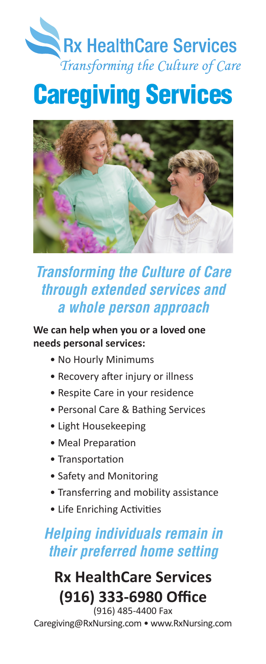# Rx HealthCare Services Transforming the Culture of Care

# Caregiving Services



### *Transforming the Culture of Care through extended services and a whole person approach*

#### **We can help when you or a loved one needs personal services:**

- No Hourly Minimums
- Recovery after injury or illness
- Respite Care in your residence
- Personal Care & Bathing Services
- Light Housekeeping
- Meal Preparation
- Transportation
- Safety and Monitoring
- Transferring and mobility assistance
- Life Enriching Activities

### *Helping individuals remain in their preferred home setting*

### **Rx HealthCare Services (916) 333-6980 Office** (916) 485-4400 Fax

Caregiving@RxNursing.com • www.RxNursing.com